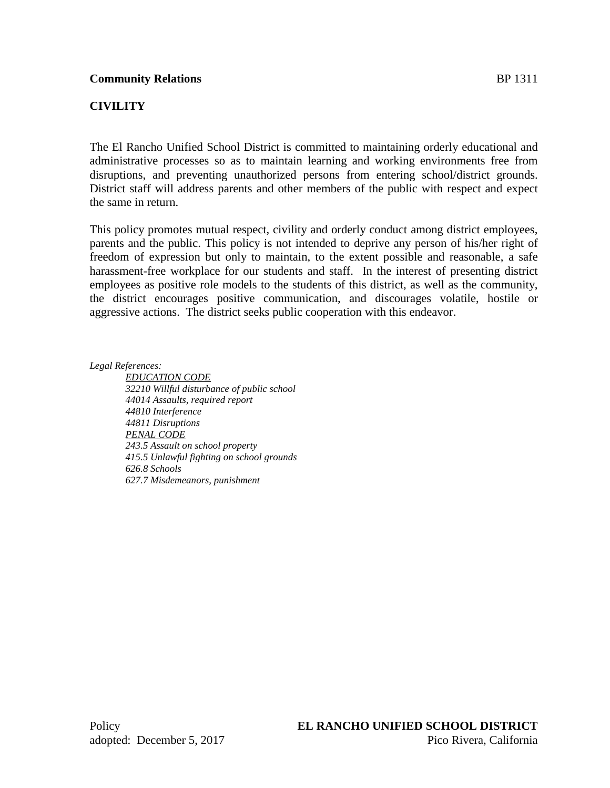## **CIVILITY**

The El Rancho Unified School District is committed to maintaining orderly educational and administrative processes so as to maintain learning and working environments free from disruptions, and preventing unauthorized persons from entering school/district grounds. District staff will address parents and other members of the public with respect and expect the same in return.

This policy promotes mutual respect, civility and orderly conduct among district employees, parents and the public. This policy is not intended to deprive any person of his/her right of freedom of expression but only to maintain, to the extent possible and reasonable, a safe harassment-free workplace for our students and staff. In the interest of presenting district employees as positive role models to the students of this district, as well as the community, the district encourages positive communication, and discourages volatile, hostile or aggressive actions. The district seeks public cooperation with this endeavor.

*Legal References:*

*EDUCATION CODE 32210 Willful disturbance of public school 44014 Assaults, required report 44810 Interference 44811 Disruptions PENAL CODE 243.5 Assault on school property 415.5 Unlawful fighting on school grounds 626.8 Schools 627.7 Misdemeanors, punishment*